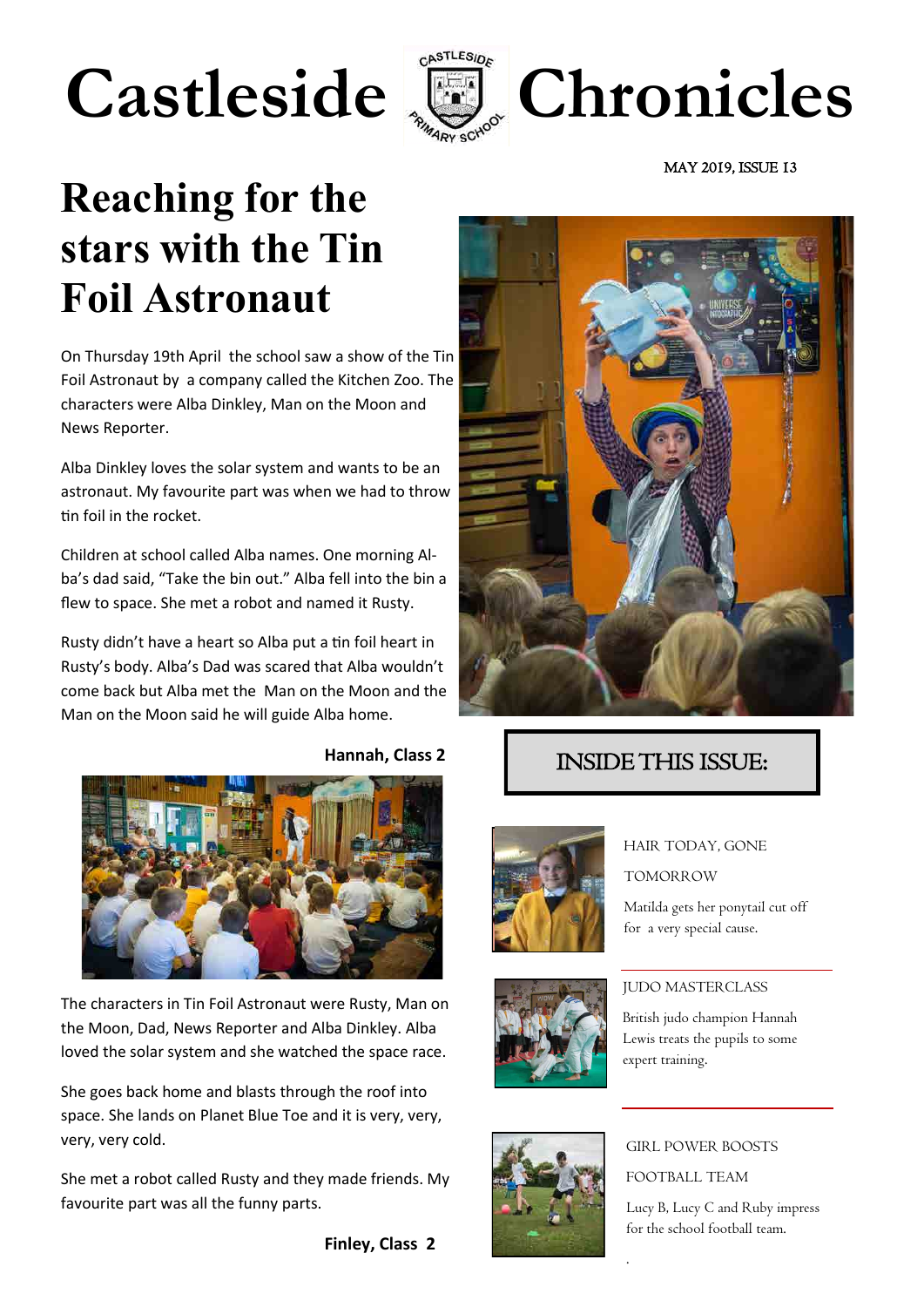# Castleside **E** Chronicles



MAY 2019, ISSUE 13

## **Reaching for the stars with the Tin Foil Astronaut**

On Thursday 19th April the school saw a show of the Tin Foil Astronaut by a company called the Kitchen Zoo. The characters were Alba Dinkley, Man on the Moon and News Reporter.

Alba Dinkley loves the solar system and wants to be an astronaut. My favourite part was when we had to throw tin foil in the rocket.

Children at school called Alba names. One morning Alba's dad said, "Take the bin out." Alba fell into the bin a flew to space. She met a robot and named it Rusty.

Rusty didn't have a heart so Alba put a tin foil heart in Rusty's body. Alba's Dad was scared that Alba wouldn't come back but Alba met the Man on the Moon and the Man on the Moon said he will guide Alba home.



The characters in Tin Foil Astronaut were Rusty, Man on the Moon, Dad, News Reporter and Alba Dinkley. Alba loved the solar system and she watched the space race.

She goes back home and blasts through the roof into space. She lands on Planet Blue Toe and it is very, very, very, very cold.

She met a robot called Rusty and they made friends. My favourite part was all the funny parts.

**Finley, Class 2**



#### INSIDE THIS ISSUE:





HAIR TODAY, GONE

TOMORROW

Matilda gets her ponytail cut off for a very special cause.



GIRL POWER BOOSTS FOOTBALL TEAM

.

Lucy B, Lucy C and Ruby impress for the school football team.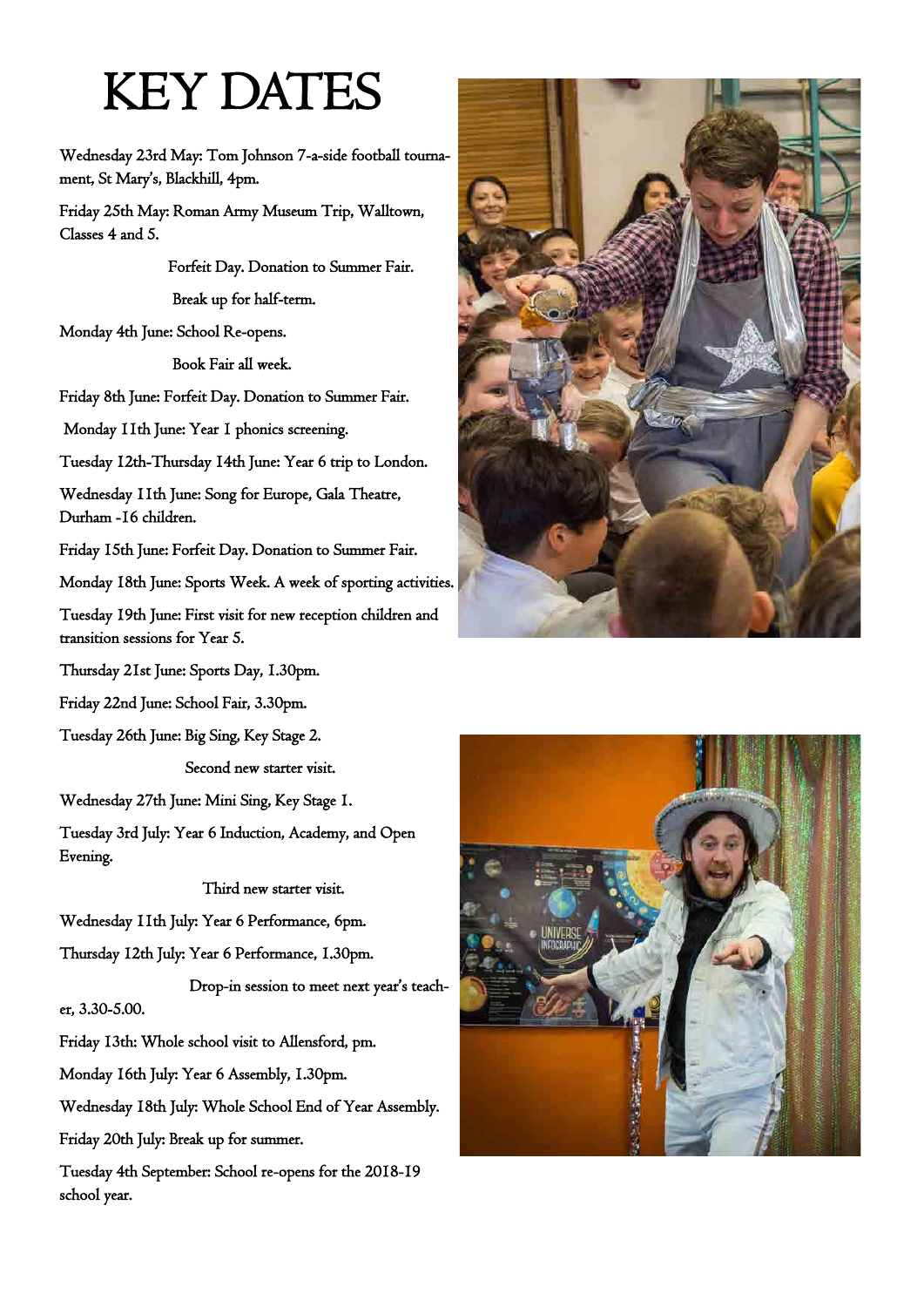## KEY DATES

Wednesday 23rd May: Tom Johnson 7-a-side football tournament, St Mary's, Blackhill, 4pm.

Friday 25th May: Roman Army Museum Trip, Walltown, Classes 4 and 5.

> Forfeit Day. Donation to Summer Fair. Break up for half-term.

Monday 4th June: School Re-opens.

Book Fair all week.

Friday 8th June: Forfeit Day. Donation to Summer Fair.

Monday 11th June: Year 1 phonics screening.

Tuesday 12th-Thursday 14th June: Year 6 trip to London.

Wednesday 11th June: Song for Europe, Gala Theatre, Durham -16 children.

Friday 15th June: Forfeit Day. Donation to Summer Fair.

Monday 18th June: Sports Week. A week of sporting activities.

Tuesday 19th June: First visit for new reception children and transition sessions for Year 5.

Thursday 21st June: Sports Day, 1.30pm.

Friday 22nd June: School Fair, 3.30pm.

Tuesday 26th June: Big Sing, Key Stage 2.

Second new starter visit.

Wednesday 27th June: Mini Sing, Key Stage 1.

Tuesday 3rd July: Year 6 Induction, Academy, and Open Evening.

Third new starter visit.

Wednesday 11th July: Year 6 Performance, 6pm.

Thursday 12th July: Year 6 Performance, 1.30pm.

 Drop-in session to meet next year's teacher, 3.30-5.00.

Friday 13th: Whole school visit to Allensford, pm.

Monday 16th July: Year 6 Assembly, 1.30pm.

Wednesday 18th July: Whole School End of Year Assembly.

Friday 20th July: Break up for summer.

Tuesday 4th September: School re-opens for the 2018-19 school year.



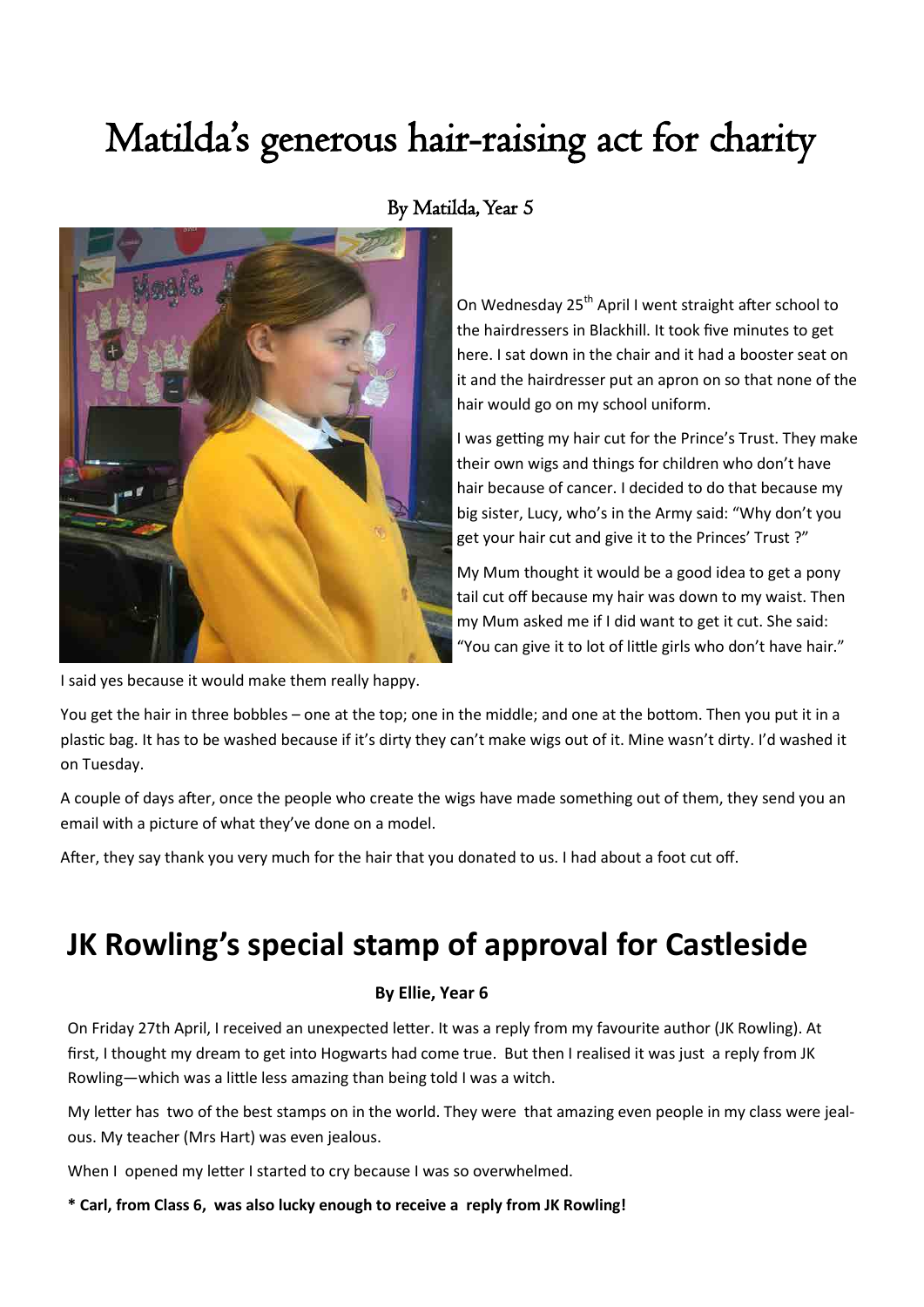## Matilda's generous hair-raising act for charity



#### By Matilda, Year 5

On Wednesday 25<sup>th</sup> April I went straight after school to the hairdressers in Blackhill. It took five minutes to get here. I sat down in the chair and it had a booster seat on it and the hairdresser put an apron on so that none of the hair would go on my school uniform.

I was getting my hair cut for the Prince's Trust. They make their own wigs and things for children who don't have hair because of cancer. I decided to do that because my big sister, Lucy, who's in the Army said: "Why don't you get your hair cut and give it to the Princes' Trust ?"

My Mum thought it would be a good idea to get a pony tail cut off because my hair was down to my waist. Then my Mum asked me if I did want to get it cut. She said: "You can give it to lot of little girls who don't have hair."

I said yes because it would make them really happy.

You get the hair in three bobbles – one at the top; one in the middle; and one at the bottom. Then you put it in a plastic bag. It has to be washed because if it's dirty they can't make wigs out of it. Mine wasn't dirty. I'd washed it on Tuesday.

A couple of days after, once the people who create the wigs have made something out of them, they send you an email with a picture of what they've done on a model.

After, they say thank you very much for the hair that you donated to us. I had about a foot cut off.

### **JK Rowling's special stamp of approval for Castleside**

#### **By Ellie, Year 6**

On Friday 27th April, I received an unexpected letter. It was a reply from my favourite author (JK Rowling). At first, I thought my dream to get into Hogwarts had come true. But then I realised it was just a reply from JK Rowling—which was a little less amazing than being told I was a witch.

My letter has two of the best stamps on in the world. They were that amazing even people in my class were jealous. My teacher (Mrs Hart) was even jealous.

When I opened my letter I started to cry because I was so overwhelmed.

**\* Carl, from Class 6, was also lucky enough to receive a reply from JK Rowling!**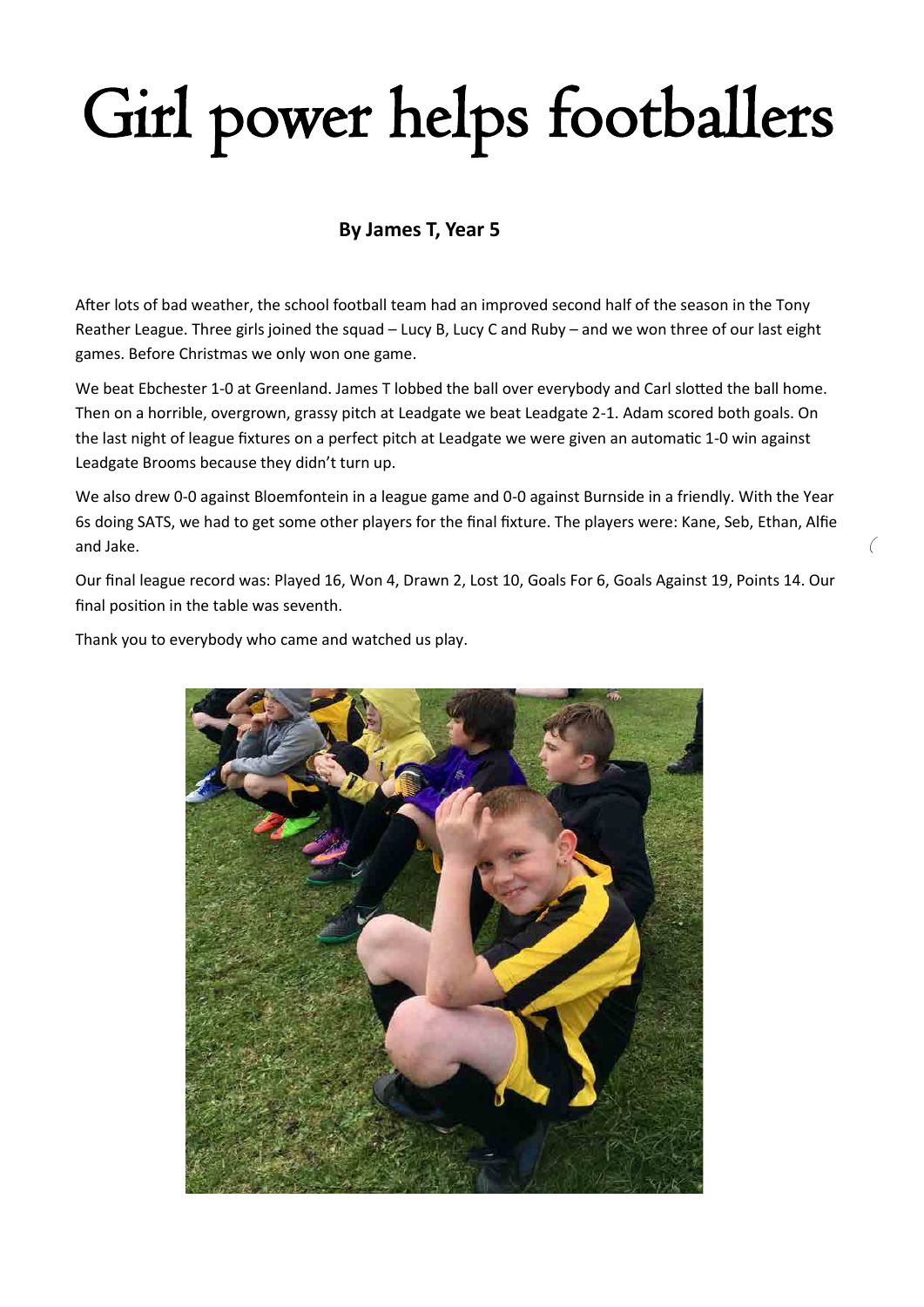# Girl power helps footballers

#### **By James T, Year 5**

After lots of bad weather, the school football team had an improved second half of the season in the Tony Reather League. Three girls joined the squad – Lucy B, Lucy C and Ruby – and we won three of our last eight games. Before Christmas we only won one game.

We beat Ebchester 1-0 at Greenland. James T lobbed the ball over everybody and Carl slotted the ball home. Then on a horrible, overgrown, grassy pitch at Leadgate we beat Leadgate 2-1. Adam scored both goals. On the last night of league fixtures on a perfect pitch at Leadgate we were given an automatic 1-0 win against Leadgate Brooms because they didn't turn up.

We also drew 0-0 against Bloemfontein in a league game and 0-0 against Burnside in a friendly. With the Year 6s doing SATS, we had to get some other players for the final fixture. The players were: Kane, Seb, Ethan, Alfie and Jake.

(

Our final league record was: Played 16, Won 4, Drawn 2, Lost 10, Goals For 6, Goals Against 19, Points 14. Our final position in the table was seventh.

Thank you to everybody who came and watched us play.

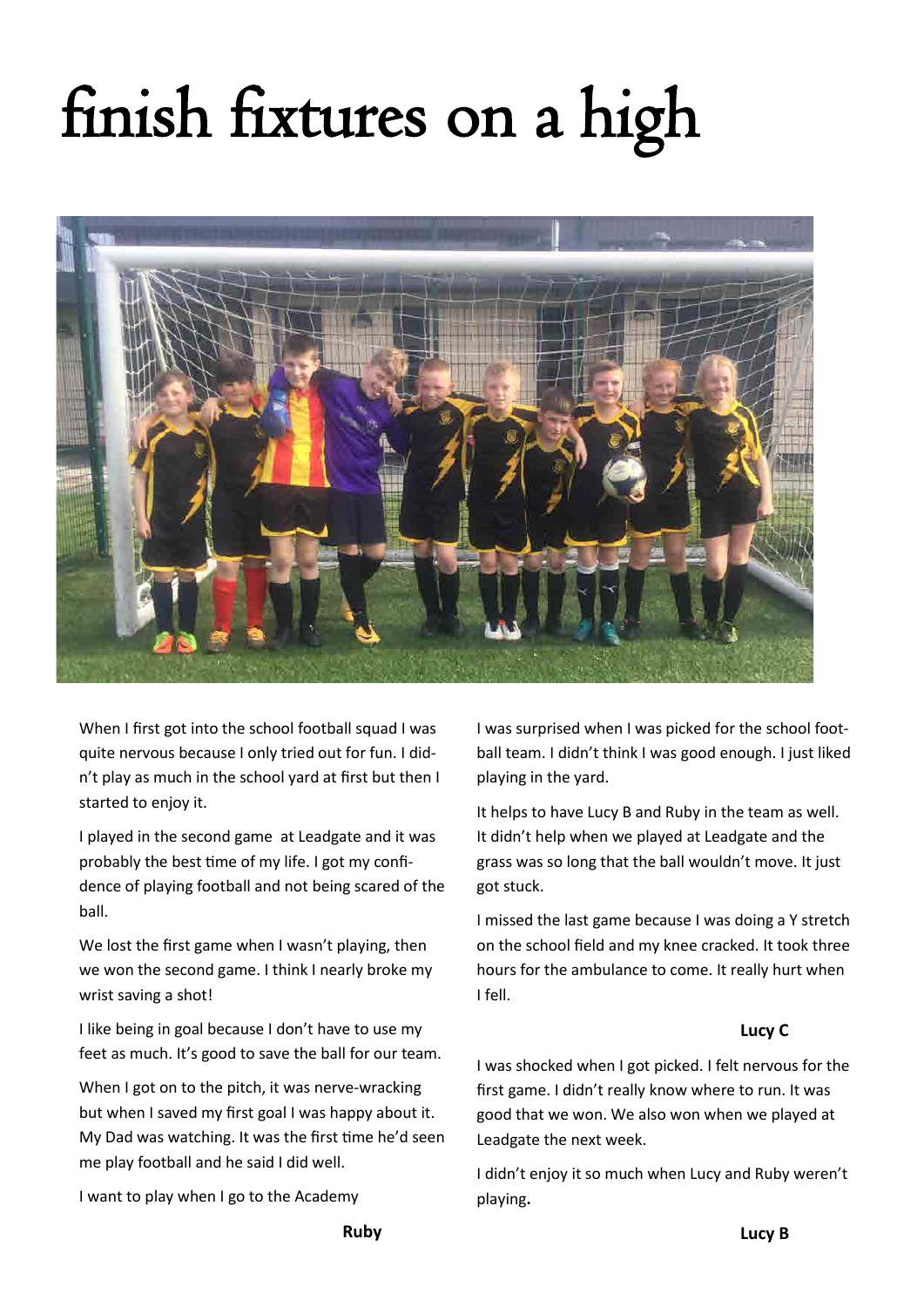# finish fixtures on a high



When I first got into the school football squad I was quite nervous because I only tried out for fun. I didn't play as much in the school yard at first but then I started to enjoy it.

I played in the second game at Leadgate and it was probably the best time of my life. I got my confidence of playing football and not being scared of the ball.

We lost the first game when I wasn't playing, then we won the second game. I think I nearly broke my wrist saving a shot!

I like being in goal because I don't have to use my feet as much. It's good to save the ball for our team.

When I got on to the pitch, it was nerve-wracking but when I saved my first goal I was happy about it. My Dad was watching. It was the first time he'd seen me play football and he said I did well.

I want to play when I go to the Academy

I was surprised when I was picked for the school football team. I didn't think I was good enough. I just liked playing in the yard.

It helps to have Lucy B and Ruby in the team as well. It didn't help when we played at Leadgate and the grass was so long that the ball wouldn't move. It just got stuck.

I missed the last game because I was doing a Y stretch on the school field and my knee cracked. It took three hours for the ambulance to come. It really hurt when I fell.

#### **Lucy C**

I was shocked when I got picked. I felt nervous for the first game. I didn't really know where to run. It was good that we won. We also won when we played at Leadgate the next week.

I didn't enjoy it so much when Lucy and Ruby weren't playing**.**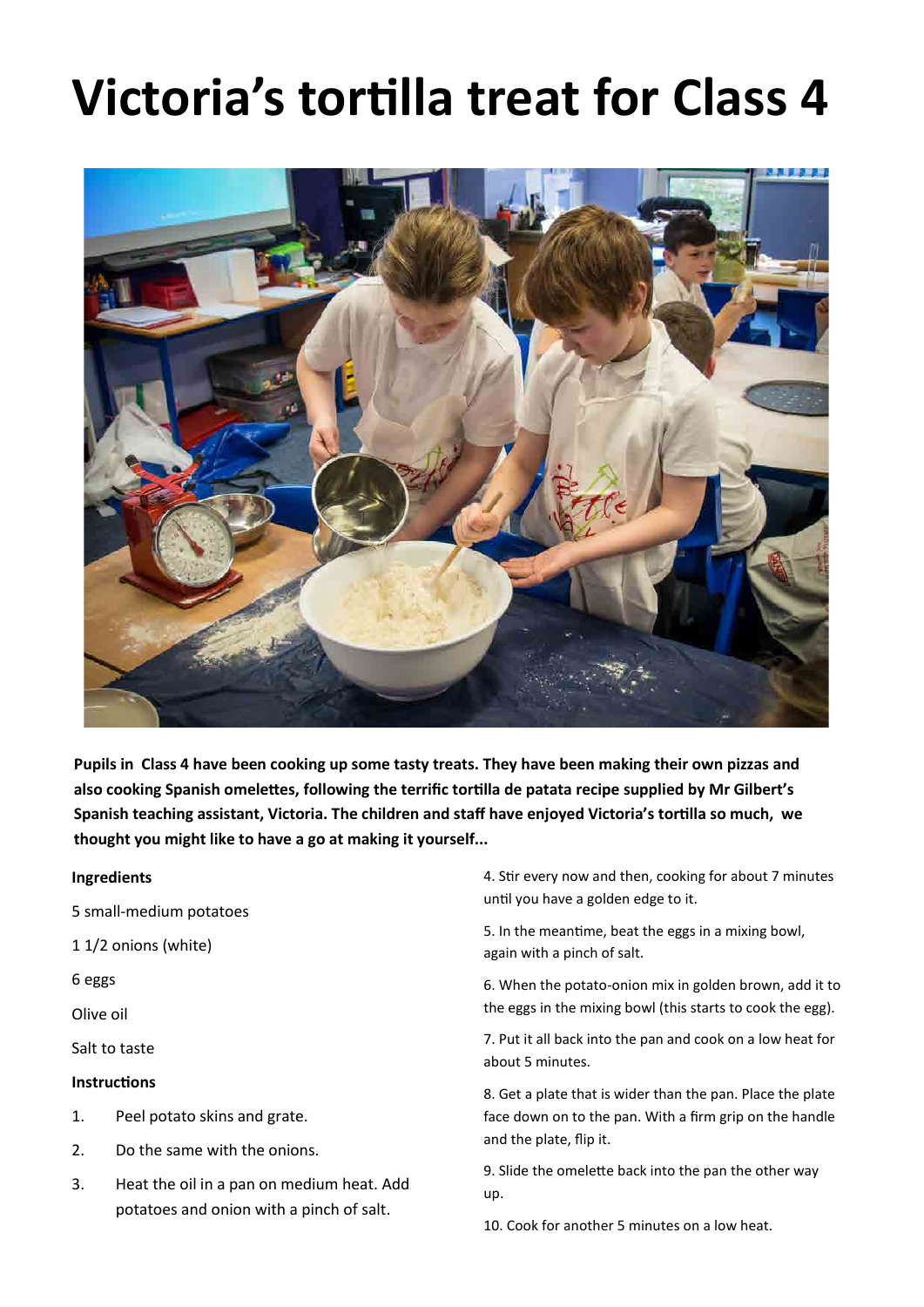# **Victoria's tortilla treat for Class 4**



**Pupils in Class 4 have been cooking up some tasty treats. They have been making their own pizzas and also cooking Spanish omelettes, following the terrific tortilla de patata recipe supplied by Mr Gilbert's Spanish teaching assistant, Victoria. The children and staff have enjoyed Victoria's tortilla so much, we thought you might like to have a go at making it yourself...**

#### **Ingredients**

- 5 small-medium potatoes
- 1 1/2 onions (white)

6 eggs

Olive oil

Salt to taste

#### **Instructions**

- 1. Peel potato skins and grate.
- 2. Do the same with the onions.
- 3. Heat the oil in a pan on medium heat. Add potatoes and onion with a pinch of salt.

4. Stir every now and then, cooking for about 7 minutes until you have a golden edge to it.

5. In the meantime, beat the eggs in a mixing bowl, again with a pinch of salt.

6. When the potato-onion mix in golden brown, add it to the eggs in the mixing bowl (this starts to cook the egg).

7. Put it all back into the pan and cook on a low heat for about 5 minutes.

8. Get a plate that is wider than the pan. Place the plate face down on to the pan. With a firm grip on the handle and the plate, flip it.

9. Slide the omelette back into the pan the other way up.

10. Cook for another 5 minutes on a low heat.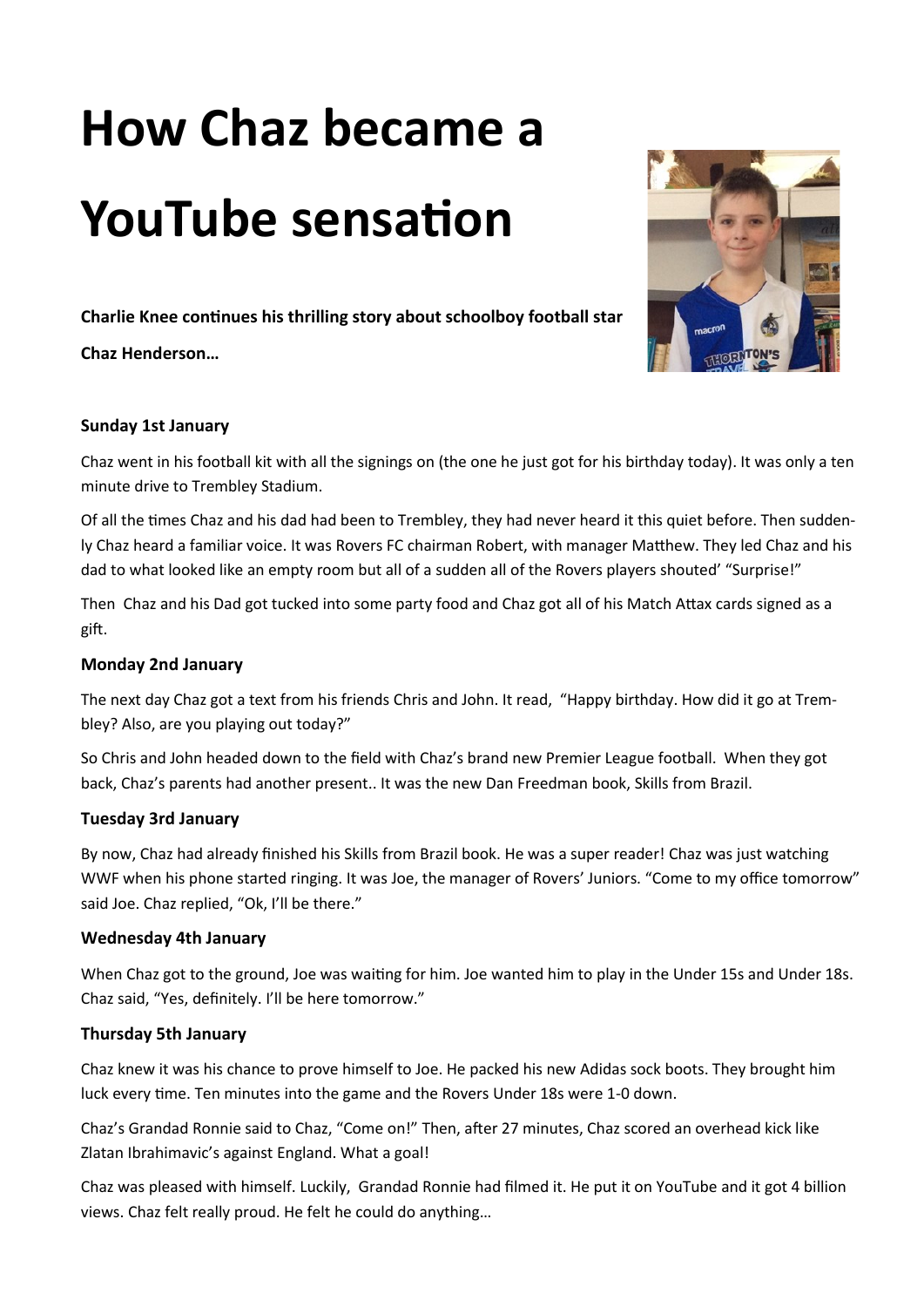# **How Chaz became a YouTube sensation**

**Charlie Knee continues his thrilling story about schoolboy football star** 

**Chaz Henderson…**



#### **Sunday 1st January**

Chaz went in his football kit with all the signings on (the one he just got for his birthday today). It was only a ten minute drive to Trembley Stadium.

Of all the times Chaz and his dad had been to Trembley, they had never heard it this quiet before. Then suddenly Chaz heard a familiar voice. It was Rovers FC chairman Robert, with manager Matthew. They led Chaz and his dad to what looked like an empty room but all of a sudden all of the Rovers players shouted' "Surprise!"

Then Chaz and his Dad got tucked into some party food and Chaz got all of his Match Attax cards signed as a gift.

#### **Monday 2nd January**

The next day Chaz got a text from his friends Chris and John. It read, "Happy birthday. How did it go at Trembley? Also, are you playing out today?"

So Chris and John headed down to the field with Chaz's brand new Premier League football. When they got back, Chaz's parents had another present.. It was the new Dan Freedman book, Skills from Brazil.

#### **Tuesday 3rd January**

By now, Chaz had already finished his Skills from Brazil book. He was a super reader! Chaz was just watching WWF when his phone started ringing. It was Joe, the manager of Rovers' Juniors. "Come to my office tomorrow" said Joe. Chaz replied, "Ok, I'll be there."

#### **Wednesday 4th January**

When Chaz got to the ground, Joe was waiting for him. Joe wanted him to play in the Under 15s and Under 18s. Chaz said, "Yes, definitely. I'll be here tomorrow."

#### **Thursday 5th January**

Chaz knew it was his chance to prove himself to Joe. He packed his new Adidas sock boots. They brought him luck every time. Ten minutes into the game and the Rovers Under 18s were 1-0 down.

Chaz's Grandad Ronnie said to Chaz, "Come on!" Then, after 27 minutes, Chaz scored an overhead kick like Zlatan Ibrahimavic's against England. What a goal!

Chaz was pleased with himself. Luckily, Grandad Ronnie had filmed it. He put it on YouTube and it got 4 billion views. Chaz felt really proud. He felt he could do anything…